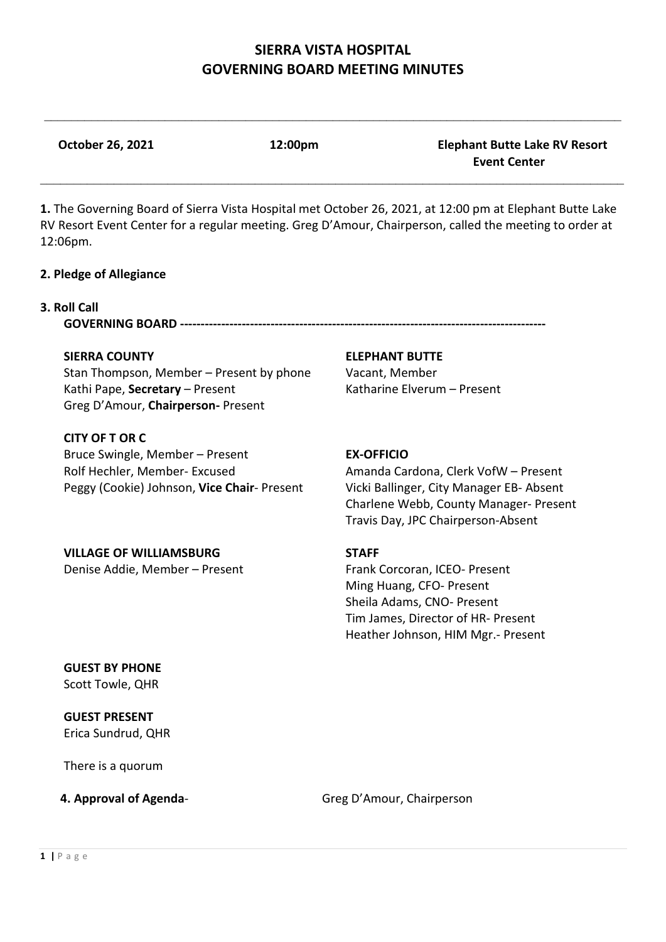$\mathcal{L}_\mathcal{L} = \{ \mathcal{L}_\mathcal{L} = \{ \mathcal{L}_\mathcal{L} = \{ \mathcal{L}_\mathcal{L} = \{ \mathcal{L}_\mathcal{L} = \{ \mathcal{L}_\mathcal{L} = \{ \mathcal{L}_\mathcal{L} = \{ \mathcal{L}_\mathcal{L} = \{ \mathcal{L}_\mathcal{L} = \{ \mathcal{L}_\mathcal{L} = \{ \mathcal{L}_\mathcal{L} = \{ \mathcal{L}_\mathcal{L} = \{ \mathcal{L}_\mathcal{L} = \{ \mathcal{L}_\mathcal{L} = \{ \mathcal{L}_\mathcal{$ 

**October 26, 2021 12:00pm Elephant Butte Lake RV Resort Event Center**

**1.** The Governing Board of Sierra Vista Hospital met October 26, 2021, at 12:00 pm at Elephant Butte Lake RV Resort Event Center for a regular meeting. Greg D'Amour, Chairperson, called the meeting to order at 12:06pm.

\_\_\_\_\_\_\_\_\_\_\_\_\_\_\_\_\_\_\_\_\_\_\_\_\_\_\_\_\_\_\_\_\_\_\_\_\_\_\_\_\_\_\_\_\_\_\_\_\_\_\_\_\_\_\_\_\_\_\_\_\_\_\_\_\_\_\_\_\_\_\_\_\_\_\_\_\_\_\_\_\_\_\_\_\_\_\_

#### **2. Pledge of Allegiance**

#### **3. Roll Call**

**GOVERNING BOARD -----------------------------------------------------------------------------------------**

Stan Thompson, Member – Present by phone Vacant, Member Kathi Pape, **Secretary** – Present Katharine Elverum – Present Greg D'Amour, **Chairperson-** Present

#### **CITY OF T OR C**

Bruce Swingle, Member – Present **EX-OFFICIO** Rolf Hechler, Member- Excused Amanda Cardona, Clerk VofW – Present Peggy (Cookie) Johnson, **Vice Chair**- Present Vicki Ballinger, City Manager EB- Absent

#### **SIERRA COUNTY ELEPHANT BUTTE**

Charlene Webb, County Manager- Present Travis Day, JPC Chairperson-Absent

# **VILLAGE OF WILLIAMSBURG STAFF**

Denise Addie, Member – Present Frank Corcoran, ICEO- Present Ming Huang, CFO- Present Sheila Adams, CNO- Present Tim James, Director of HR- Present Heather Johnson, HIM Mgr.- Present

**GUEST BY PHONE** Scott Towle, QHR

**GUEST PRESENT** Erica Sundrud, QHR

There is a quorum

**4. Approval of Agenda-** Greg D'Amour, Chairperson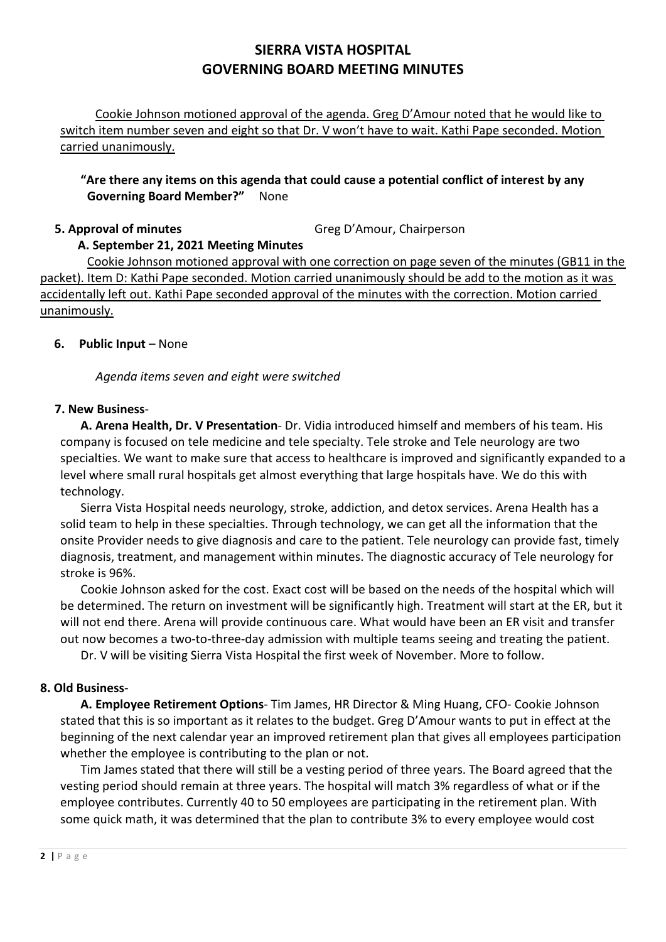Cookie Johnson motioned approval of the agenda. Greg D'Amour noted that he would like to switch item number seven and eight so that Dr. V won't have to wait. Kathi Pape seconded. Motion carried unanimously.

## **"Are there any items on this agenda that could cause a potential conflict of interest by any Governing Board Member?"** None

# **5. Approval of minutes** Greg D'Amour, Chairperson

## **A. September 21, 2021 Meeting Minutes**

Cookie Johnson motioned approval with one correction on page seven of the minutes (GB11 in the packet). Item D: Kathi Pape seconded. Motion carried unanimously should be add to the motion as it was accidentally left out. Kathi Pape seconded approval of the minutes with the correction. Motion carried unanimously.

## **6. Public Input** – None

*Agenda items seven and eight were switched*

#### **7. New Business**-

**A. Arena Health, Dr. V Presentation**- Dr. Vidia introduced himself and members of his team. His company is focused on tele medicine and tele specialty. Tele stroke and Tele neurology are two specialties. We want to make sure that access to healthcare is improved and significantly expanded to a level where small rural hospitals get almost everything that large hospitals have. We do this with technology.

Sierra Vista Hospital needs neurology, stroke, addiction, and detox services. Arena Health has a solid team to help in these specialties. Through technology, we can get all the information that the onsite Provider needs to give diagnosis and care to the patient. Tele neurology can provide fast, timely diagnosis, treatment, and management within minutes. The diagnostic accuracy of Tele neurology for stroke is 96%.

Cookie Johnson asked for the cost. Exact cost will be based on the needs of the hospital which will be determined. The return on investment will be significantly high. Treatment will start at the ER, but it will not end there. Arena will provide continuous care. What would have been an ER visit and transfer out now becomes a two-to-three-day admission with multiple teams seeing and treating the patient.

Dr. V will be visiting Sierra Vista Hospital the first week of November. More to follow.

## **8. Old Business**-

**A. Employee Retirement Options**- Tim James, HR Director & Ming Huang, CFO- Cookie Johnson stated that this is so important as it relates to the budget. Greg D'Amour wants to put in effect at the beginning of the next calendar year an improved retirement plan that gives all employees participation whether the employee is contributing to the plan or not.

Tim James stated that there will still be a vesting period of three years. The Board agreed that the vesting period should remain at three years. The hospital will match 3% regardless of what or if the employee contributes. Currently 40 to 50 employees are participating in the retirement plan. With some quick math, it was determined that the plan to contribute 3% to every employee would cost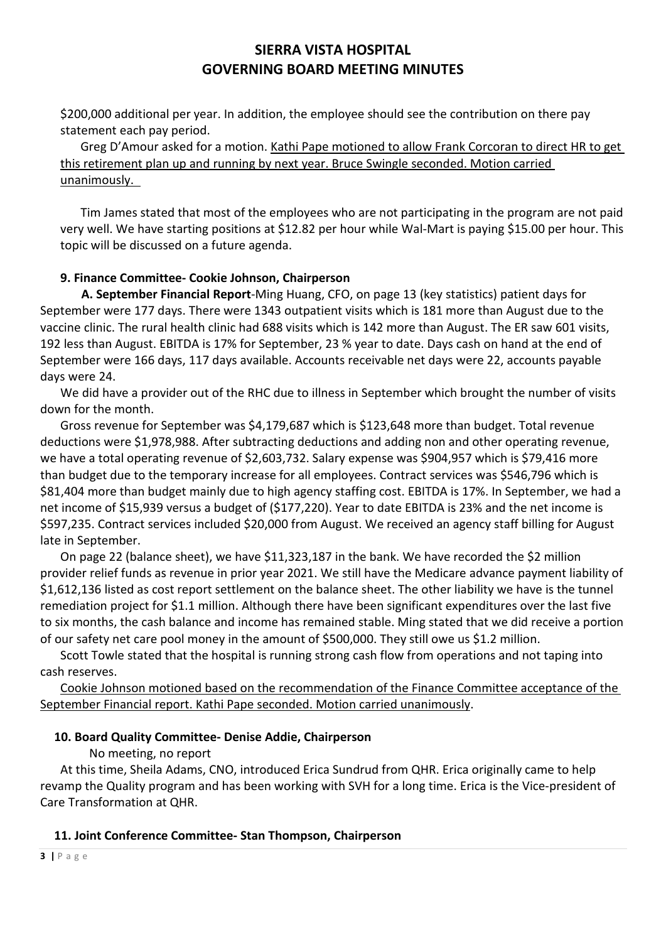\$200,000 additional per year. In addition, the employee should see the contribution on there pay statement each pay period.

Greg D'Amour asked for a motion. Kathi Pape motioned to allow Frank Corcoran to direct HR to get this retirement plan up and running by next year. Bruce Swingle seconded. Motion carried unanimously.

Tim James stated that most of the employees who are not participating in the program are not paid very well. We have starting positions at \$12.82 per hour while Wal-Mart is paying \$15.00 per hour. This topic will be discussed on a future agenda.

## **9. Finance Committee- Cookie Johnson, Chairperson**

 **A. September Financial Report**-Ming Huang, CFO, on page 13 (key statistics) patient days for September were 177 days. There were 1343 outpatient visits which is 181 more than August due to the vaccine clinic. The rural health clinic had 688 visits which is 142 more than August. The ER saw 601 visits, 192 less than August. EBITDA is 17% for September, 23 % year to date. Days cash on hand at the end of September were 166 days, 117 days available. Accounts receivable net days were 22, accounts payable days were 24.

We did have a provider out of the RHC due to illness in September which brought the number of visits down for the month.

Gross revenue for September was \$4,179,687 which is \$123,648 more than budget. Total revenue deductions were \$1,978,988. After subtracting deductions and adding non and other operating revenue, we have a total operating revenue of \$2,603,732. Salary expense was \$904,957 which is \$79,416 more than budget due to the temporary increase for all employees. Contract services was \$546,796 which is \$81,404 more than budget mainly due to high agency staffing cost. EBITDA is 17%. In September, we had a net income of \$15,939 versus a budget of (\$177,220). Year to date EBITDA is 23% and the net income is \$597,235. Contract services included \$20,000 from August. We received an agency staff billing for August late in September.

On page 22 (balance sheet), we have \$11,323,187 in the bank. We have recorded the \$2 million provider relief funds as revenue in prior year 2021. We still have the Medicare advance payment liability of \$1,612,136 listed as cost report settlement on the balance sheet. The other liability we have is the tunnel remediation project for \$1.1 million. Although there have been significant expenditures over the last five to six months, the cash balance and income has remained stable. Ming stated that we did receive a portion of our safety net care pool money in the amount of \$500,000. They still owe us \$1.2 million.

Scott Towle stated that the hospital is running strong cash flow from operations and not taping into cash reserves.

Cookie Johnson motioned based on the recommendation of the Finance Committee acceptance of the September Financial report. Kathi Pape seconded. Motion carried unanimously.

#### **10. Board Quality Committee- Denise Addie, Chairperson**

No meeting, no report

At this time, Sheila Adams, CNO, introduced Erica Sundrud from QHR. Erica originally came to help revamp the Quality program and has been working with SVH for a long time. Erica is the Vice-president of Care Transformation at QHR.

#### **11. Joint Conference Committee- Stan Thompson, Chairperson**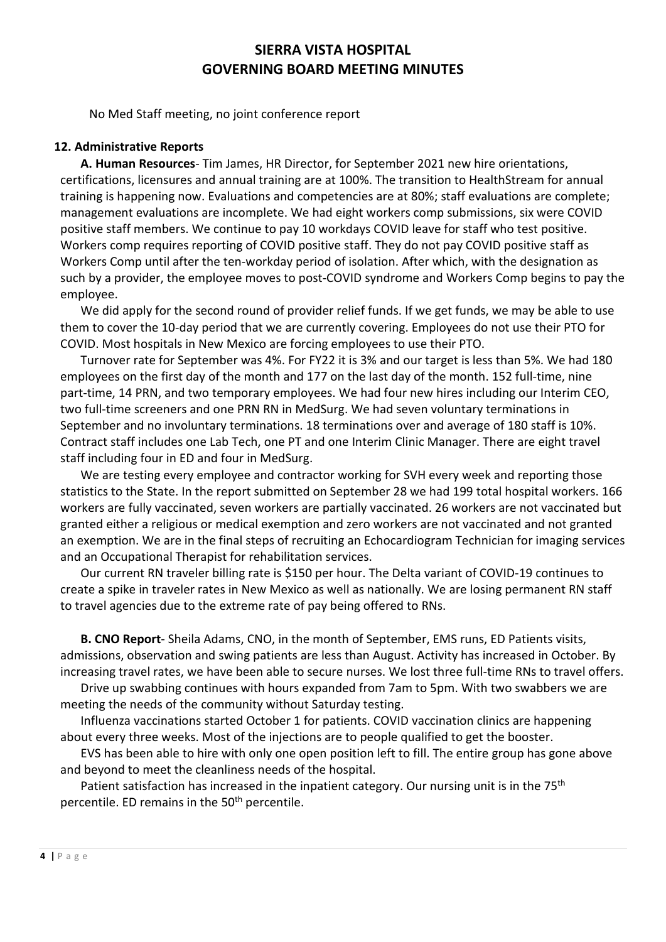No Med Staff meeting, no joint conference report

#### **12. Administrative Reports**

**A. Human Resources**- Tim James, HR Director, for September 2021 new hire orientations, certifications, licensures and annual training are at 100%. The transition to HealthStream for annual training is happening now. Evaluations and competencies are at 80%; staff evaluations are complete; management evaluations are incomplete. We had eight workers comp submissions, six were COVID positive staff members. We continue to pay 10 workdays COVID leave for staff who test positive. Workers comp requires reporting of COVID positive staff. They do not pay COVID positive staff as Workers Comp until after the ten-workday period of isolation. After which, with the designation as such by a provider, the employee moves to post-COVID syndrome and Workers Comp begins to pay the employee.

We did apply for the second round of provider relief funds. If we get funds, we may be able to use them to cover the 10-day period that we are currently covering. Employees do not use their PTO for COVID. Most hospitals in New Mexico are forcing employees to use their PTO.

Turnover rate for September was 4%. For FY22 it is 3% and our target is less than 5%. We had 180 employees on the first day of the month and 177 on the last day of the month. 152 full-time, nine part-time, 14 PRN, and two temporary employees. We had four new hires including our Interim CEO, two full-time screeners and one PRN RN in MedSurg. We had seven voluntary terminations in September and no involuntary terminations. 18 terminations over and average of 180 staff is 10%. Contract staff includes one Lab Tech, one PT and one Interim Clinic Manager. There are eight travel staff including four in ED and four in MedSurg.

We are testing every employee and contractor working for SVH every week and reporting those statistics to the State. In the report submitted on September 28 we had 199 total hospital workers. 166 workers are fully vaccinated, seven workers are partially vaccinated. 26 workers are not vaccinated but granted either a religious or medical exemption and zero workers are not vaccinated and not granted an exemption. We are in the final steps of recruiting an Echocardiogram Technician for imaging services and an Occupational Therapist for rehabilitation services.

Our current RN traveler billing rate is \$150 per hour. The Delta variant of COVID-19 continues to create a spike in traveler rates in New Mexico as well as nationally. We are losing permanent RN staff to travel agencies due to the extreme rate of pay being offered to RNs.

**B. CNO Report**- Sheila Adams, CNO, in the month of September, EMS runs, ED Patients visits, admissions, observation and swing patients are less than August. Activity has increased in October. By increasing travel rates, we have been able to secure nurses. We lost three full-time RNs to travel offers.

Drive up swabbing continues with hours expanded from 7am to 5pm. With two swabbers we are meeting the needs of the community without Saturday testing.

Influenza vaccinations started October 1 for patients. COVID vaccination clinics are happening about every three weeks. Most of the injections are to people qualified to get the booster.

EVS has been able to hire with only one open position left to fill. The entire group has gone above and beyond to meet the cleanliness needs of the hospital.

Patient satisfaction has increased in the inpatient category. Our nursing unit is in the 75<sup>th</sup> percentile. ED remains in the 50<sup>th</sup> percentile.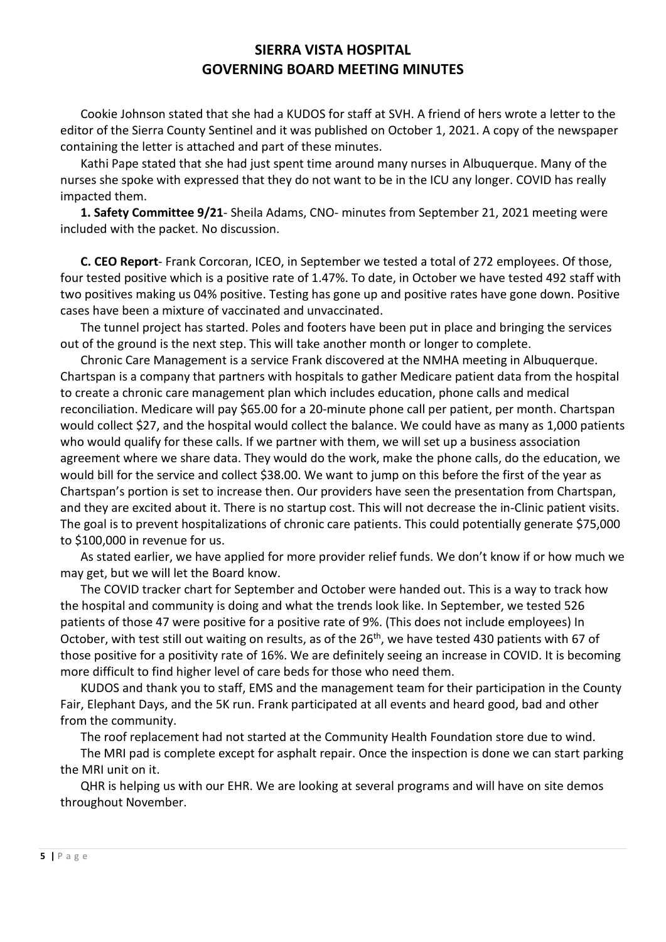Cookie Johnson stated that she had a KUDOS for staff at SVH. A friend of hers wrote a letter to the editor of the Sierra County Sentinel and it was published on October 1, 2021. A copy of the newspaper containing the letter is attached and part of these minutes.

Kathi Pape stated that she had just spent time around many nurses in Albuquerque. Many of the nurses she spoke with expressed that they do not want to be in the ICU any longer. COVID has really impacted them.

**1. Safety Committee 9/21**- Sheila Adams, CNO- minutes from September 21, 2021 meeting were included with the packet. No discussion.

**C. CEO Report**- Frank Corcoran, ICEO, in September we tested a total of 272 employees. Of those, four tested positive which is a positive rate of 1.47%. To date, in October we have tested 492 staff with two positives making us 04% positive. Testing has gone up and positive rates have gone down. Positive cases have been a mixture of vaccinated and unvaccinated.

The tunnel project has started. Poles and footers have been put in place and bringing the services out of the ground is the next step. This will take another month or longer to complete.

Chronic Care Management is a service Frank discovered at the NMHA meeting in Albuquerque. Chartspan is a company that partners with hospitals to gather Medicare patient data from the hospital to create a chronic care management plan which includes education, phone calls and medical reconciliation. Medicare will pay \$65.00 for a 20-minute phone call per patient, per month. Chartspan would collect \$27, and the hospital would collect the balance. We could have as many as 1,000 patients who would qualify for these calls. If we partner with them, we will set up a business association agreement where we share data. They would do the work, make the phone calls, do the education, we would bill for the service and collect \$38.00. We want to jump on this before the first of the year as Chartspan's portion is set to increase then. Our providers have seen the presentation from Chartspan, and they are excited about it. There is no startup cost. This will not decrease the in-Clinic patient visits. The goal is to prevent hospitalizations of chronic care patients. This could potentially generate \$75,000 to \$100,000 in revenue for us.

As stated earlier, we have applied for more provider relief funds. We don't know if or how much we may get, but we will let the Board know.

The COVID tracker chart for September and October were handed out. This is a way to track how the hospital and community is doing and what the trends look like. In September, we tested 526 patients of those 47 were positive for a positive rate of 9%. (This does not include employees) In October, with test still out waiting on results, as of the 26<sup>th</sup>, we have tested 430 patients with 67 of those positive for a positivity rate of 16%. We are definitely seeing an increase in COVID. It is becoming more difficult to find higher level of care beds for those who need them.

KUDOS and thank you to staff, EMS and the management team for their participation in the County Fair, Elephant Days, and the 5K run. Frank participated at all events and heard good, bad and other from the community.

The roof replacement had not started at the Community Health Foundation store due to wind.

The MRI pad is complete except for asphalt repair. Once the inspection is done we can start parking the MRI unit on it.

QHR is helping us with our EHR. We are looking at several programs and will have on site demos throughout November.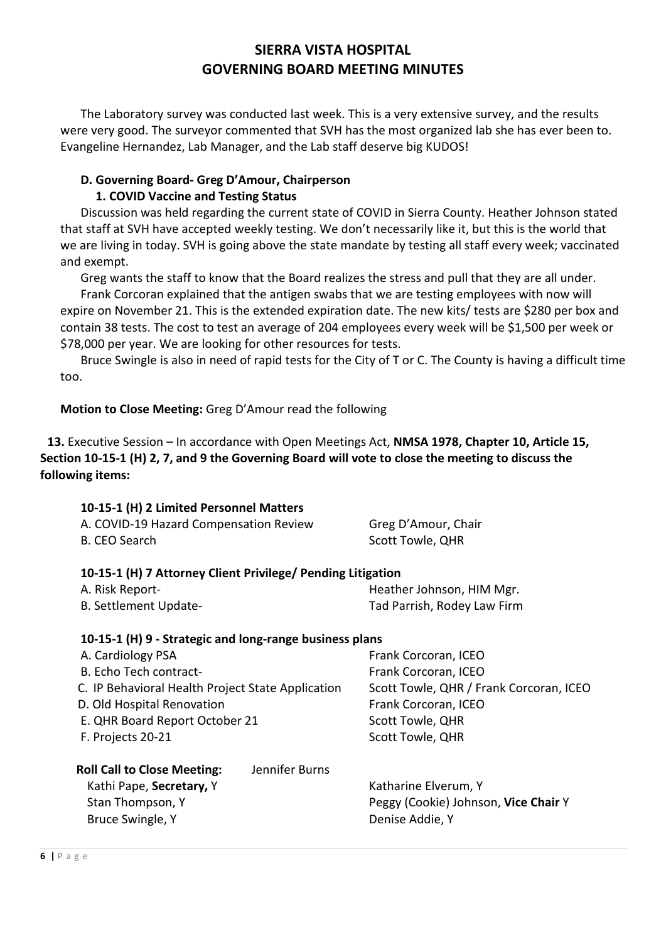The Laboratory survey was conducted last week. This is a very extensive survey, and the results were very good. The surveyor commented that SVH has the most organized lab she has ever been to. Evangeline Hernandez, Lab Manager, and the Lab staff deserve big KUDOS!

#### **D. Governing Board- Greg D'Amour, Chairperson 1. COVID Vaccine and Testing Status**

Discussion was held regarding the current state of COVID in Sierra County. Heather Johnson stated that staff at SVH have accepted weekly testing. We don't necessarily like it, but this is the world that we are living in today. SVH is going above the state mandate by testing all staff every week; vaccinated and exempt.

Greg wants the staff to know that the Board realizes the stress and pull that they are all under.

Frank Corcoran explained that the antigen swabs that we are testing employees with now will expire on November 21. This is the extended expiration date. The new kits/ tests are \$280 per box and contain 38 tests. The cost to test an average of 204 employees every week will be \$1,500 per week or \$78,000 per year. We are looking for other resources for tests.

Bruce Swingle is also in need of rapid tests for the City of T or C. The County is having a difficult time too.

# **Motion to Close Meeting:** Greg D'Amour read the following

**13.** Executive Session – In accordance with Open Meetings Act, **NMSA 1978, Chapter 10, Article 15, Section 10-15-1 (H) 2, 7, and 9 the Governing Board will vote to close the meeting to discuss the following items:**

| A. COVID-19 Hazard Compensation Review | Greg D'Amour, Chair |
|----------------------------------------|---------------------|
| B. CEO Search                          | Scott Towle, QHR    |

Bruce Swingle, Y **Denise Addie, Y** Denise Addie, Y

## **10-15-1 (H) 7 Attorney Client Privilege/ Pending Litigation**

| A. Risk Report-       | Heather Johnson, HIM Mgr.   |
|-----------------------|-----------------------------|
| B. Settlement Update- | Tad Parrish, Rodey Law Firm |

## **10-15-1 (H) 9 - Strategic and long-range business plans**

| A. Cardiology PSA                                    | Frank Corcoran, ICEO                    |
|------------------------------------------------------|-----------------------------------------|
| B. Echo Tech contract-                               | Frank Corcoran, ICEO                    |
| C. IP Behavioral Health Project State Application    | Scott Towle, QHR / Frank Corcoran, ICEO |
| D. Old Hospital Renovation                           | Frank Corcoran, ICEO                    |
| E. QHR Board Report October 21                       | Scott Towle, QHR                        |
| F. Projects 20-21                                    | <b>Scott Towle, QHR</b>                 |
| Jennifer Burns<br><b>Roll Call to Close Meeting:</b> |                                         |
| Kathi Pape, Secretary, Y                             | Katharine Elverum, Y                    |
| Stan Thompson, Y                                     | Peggy (Cookie) Johnson, Vice Chair Y    |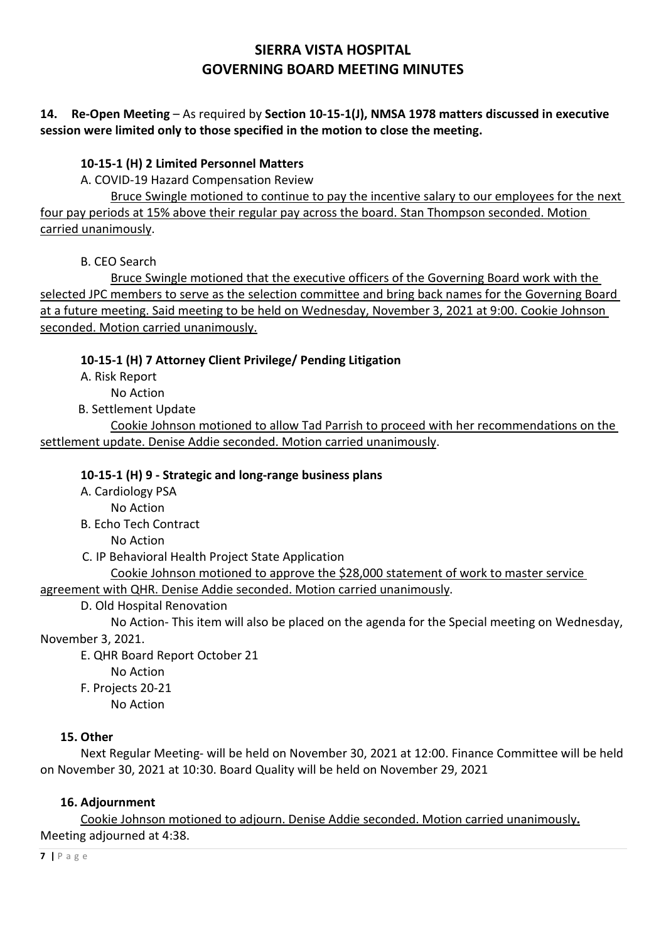# **14. Re-Open Meeting** – As required by **Section 10-15-1(J), NMSA 1978 matters discussed in executive session were limited only to those specified in the motion to close the meeting.**

# **10-15-1 (H) 2 Limited Personnel Matters**

A. COVID-19 Hazard Compensation Review

Bruce Swingle motioned to continue to pay the incentive salary to our employees for the next four pay periods at 15% above their regular pay across the board. Stan Thompson seconded. Motion carried unanimously.

B. CEO Search

Bruce Swingle motioned that the executive officers of the Governing Board work with the selected JPC members to serve as the selection committee and bring back names for the Governing Board at a future meeting. Said meeting to be held on Wednesday, November 3, 2021 at 9:00. Cookie Johnson seconded. Motion carried unanimously.

# **10-15-1 (H) 7 Attorney Client Privilege/ Pending Litigation**

A. Risk Report

No Action

B. Settlement Update

Cookie Johnson motioned to allow Tad Parrish to proceed with her recommendations on the settlement update. Denise Addie seconded. Motion carried unanimously.

# **10-15-1 (H) 9 - Strategic and long-range business plans**

A. Cardiology PSA

No Action

B. Echo Tech Contract

No Action

C. IP Behavioral Health Project State Application

Cookie Johnson motioned to approve the \$28,000 statement of work to master service

agreement with QHR. Denise Addie seconded. Motion carried unanimously.

# D. Old Hospital Renovation

No Action- This item will also be placed on the agenda for the Special meeting on Wednesday, November 3, 2021.

E. QHR Board Report October 21

No Action

F. Projects 20-21

No Action

# **15. Other**

Next Regular Meeting- will be held on November 30, 2021 at 12:00. Finance Committee will be held on November 30, 2021 at 10:30. Board Quality will be held on November 29, 2021

# **16. Adjournment**

Cookie Johnson motioned to adjourn. Denise Addie seconded. Motion carried unanimously**.** Meeting adjourned at 4:38.